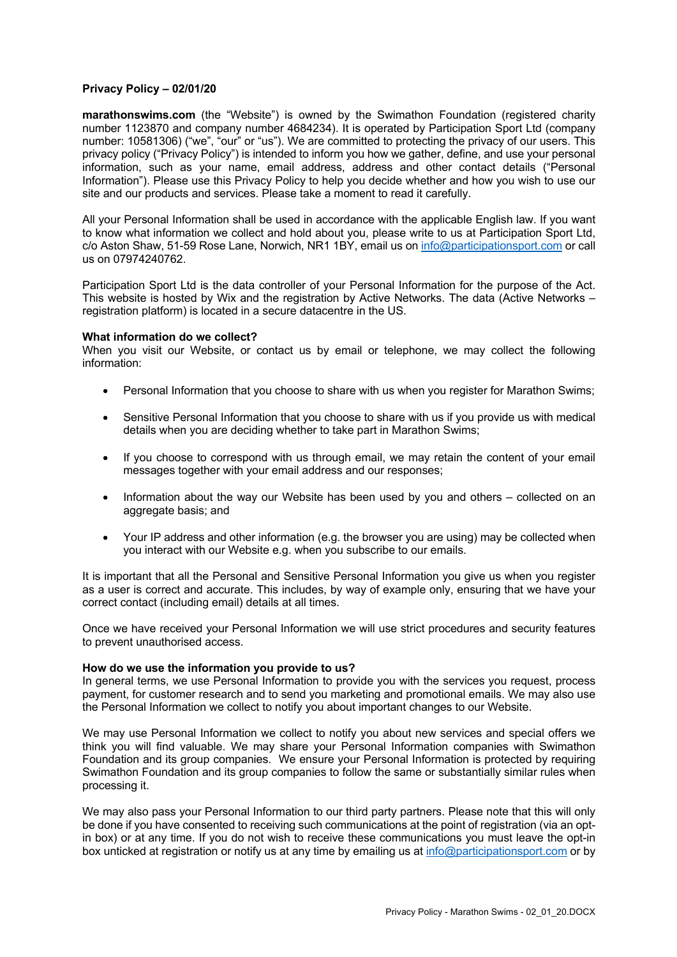# **Privacy Policy – 02/01/20**

**marathonswims.com** (the "Website") is owned by the Swimathon Foundation (registered charity number 1123870 and company number 4684234). It is operated by Participation Sport Ltd (company number: 10581306) ("we", "our" or "us"). We are committed to protecting the privacy of our users. This privacy policy ("Privacy Policy") is intended to inform you how we gather, define, and use your personal information, such as your name, email address, address and other contact details ("Personal Information"). Please use this Privacy Policy to help you decide whether and how you wish to use our site and our products and services. Please take a moment to read it carefully.

All your Personal Information shall be used in accordance with the applicable English law. If you want to know what information we collect and hold about you, please write to us at Participation Sport Ltd, c/o Aston Shaw, 51-59 Rose Lane, Norwich, NR1 1BY, email us on info@participationsport.com or call us on 07974240762.

Participation Sport Ltd is the data controller of your Personal Information for the purpose of the Act. This website is hosted by Wix and the registration by Active Networks. The data (Active Networks – registration platform) is located in a secure datacentre in the US.

#### **What information do we collect?**

When you visit our Website, or contact us by email or telephone, we may collect the following information:

- Personal Information that you choose to share with us when you register for Marathon Swims;
- Sensitive Personal Information that you choose to share with us if you provide us with medical details when you are deciding whether to take part in Marathon Swims;
- If you choose to correspond with us through email, we may retain the content of your email messages together with your email address and our responses;
- Information about the way our Website has been used by you and others collected on an aggregate basis; and
- Your IP address and other information (e.g. the browser you are using) may be collected when you interact with our Website e.g. when you subscribe to our emails.

It is important that all the Personal and Sensitive Personal Information you give us when you register as a user is correct and accurate. This includes, by way of example only, ensuring that we have your correct contact (including email) details at all times.

Once we have received your Personal Information we will use strict procedures and security features to prevent unauthorised access.

#### **How do we use the information you provide to us?**

In general terms, we use Personal Information to provide you with the services you request, process payment, for customer research and to send you marketing and promotional emails. We may also use the Personal Information we collect to notify you about important changes to our Website.

We may use Personal Information we collect to notify you about new services and special offers we think you will find valuable. We may share your Personal Information companies with Swimathon Foundation and its group companies. We ensure your Personal Information is protected by requiring Swimathon Foundation and its group companies to follow the same or substantially similar rules when processing it.

We may also pass your Personal Information to our third party partners. Please note that this will only be done if you have consented to receiving such communications at the point of registration (via an optin box) or at any time. If you do not wish to receive these communications you must leave the opt-in box unticked at registration or notify us at any time by emailing us at info@participationsport.com or by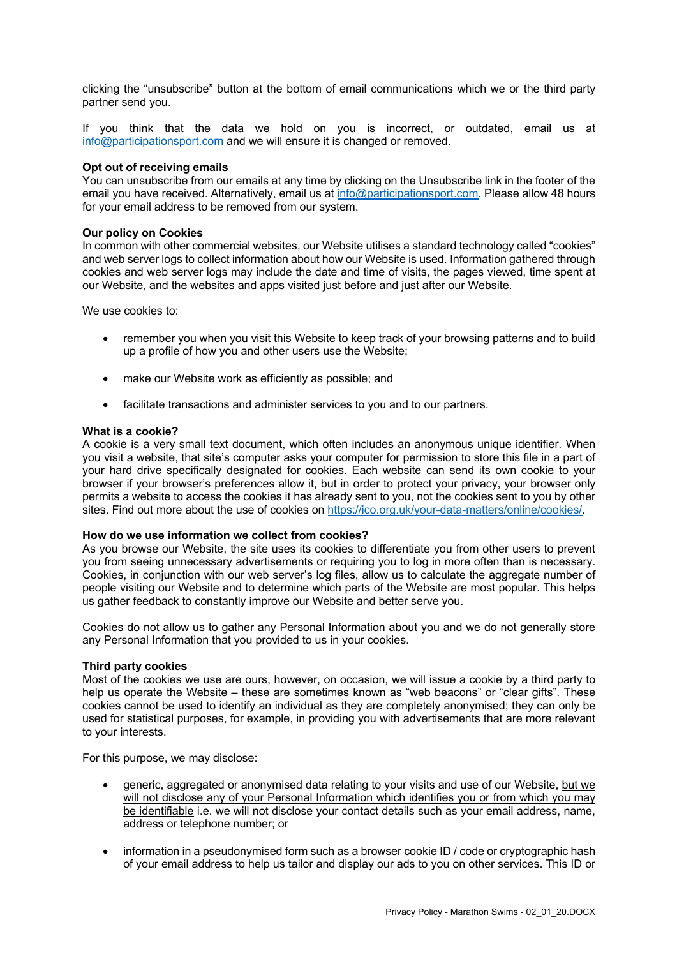clicking the "unsubscribe" button at the bottom of email communications which we or the third party partner send you.

If you think that the data we hold on you is incorrect, or outdated, email us at info@participationsport.com and we will ensure it is changed or removed.

### **Opt out of receiving emails**

You can unsubscribe from our emails at any time by clicking on the Unsubscribe link in the footer of the email you have received. Alternatively, email us at info@participationsport.com. Please allow 48 hours for your email address to be removed from our system.

## **Our policy on Cookies**

In common with other commercial websites, our Website utilises a standard technology called "cookies" and web server logs to collect information about how our Website is used. Information gathered through cookies and web server logs may include the date and time of visits, the pages viewed, time spent at our Website, and the websites and apps visited just before and just after our Website.

We use cookies to:

- remember you when you visit this Website to keep track of your browsing patterns and to build up a profile of how you and other users use the Website;
- make our Website work as efficiently as possible; and
- facilitate transactions and administer services to you and to our partners.

#### **What is a cookie?**

A cookie is a very small text document, which often includes an anonymous unique identifier. When you visit a website, that site's computer asks your computer for permission to store this file in a part of your hard drive specifically designated for cookies. Each website can send its own cookie to your browser if your browser's preferences allow it, but in order to protect your privacy, your browser only permits a website to access the cookies it has already sent to you, not the cookies sent to you by other sites. Find out more about the use of cookies on https://ico.org.uk/your-data-matters/online/cookies/.

#### **How do we use information we collect from cookies?**

As you browse our Website, the site uses its cookies to differentiate you from other users to prevent you from seeing unnecessary advertisements or requiring you to log in more often than is necessary. Cookies, in conjunction with our web server's log files, allow us to calculate the aggregate number of people visiting our Website and to determine which parts of the Website are most popular. This helps us gather feedback to constantly improve our Website and better serve you.

Cookies do not allow us to gather any Personal Information about you and we do not generally store any Personal Information that you provided to us in your cookies.

#### **Third party cookies**

Most of the cookies we use are ours, however, on occasion, we will issue a cookie by a third party to help us operate the Website – these are sometimes known as "web beacons" or "clear gifts". These cookies cannot be used to identify an individual as they are completely anonymised; they can only be used for statistical purposes, for example, in providing you with advertisements that are more relevant to your interests.

For this purpose, we may disclose:

- generic, aggregated or anonymised data relating to your visits and use of our Website, but we will not disclose any of your Personal Information which identifies you or from which you may be identifiable i.e. we will not disclose your contact details such as your email address, name, address or telephone number; or
- information in a pseudonymised form such as a browser cookie ID / code or cryptographic hash of your email address to help us tailor and display our ads to you on other services. This ID or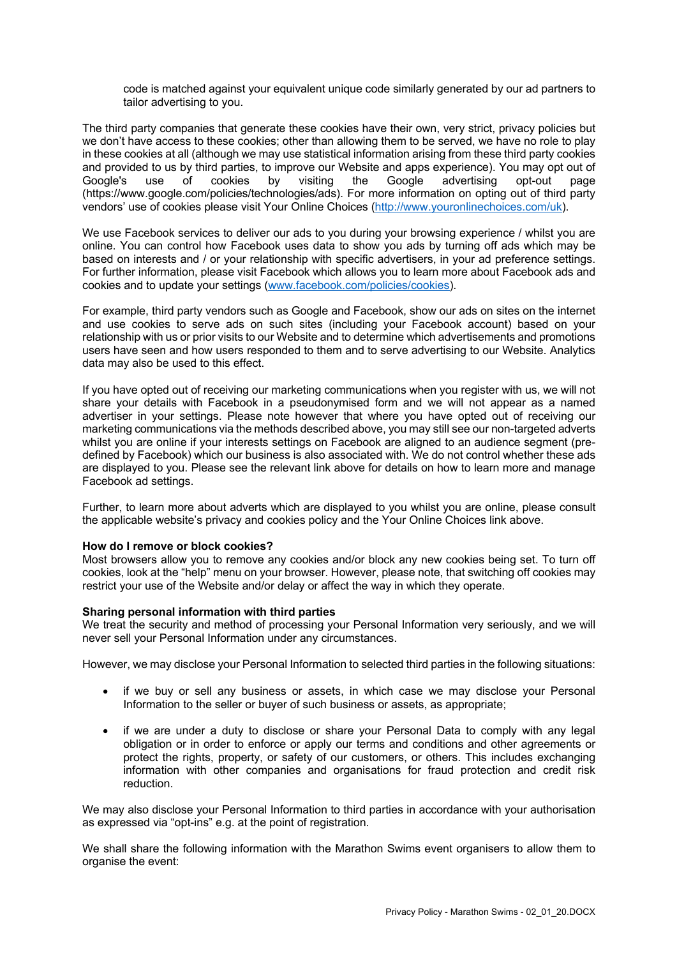code is matched against your equivalent unique code similarly generated by our ad partners to tailor advertising to you.

The third party companies that generate these cookies have their own, very strict, privacy policies but we don't have access to these cookies; other than allowing them to be served, we have no role to play in these cookies at all (although we may use statistical information arising from these third party cookies and provided to us by third parties, to improve our Website and apps experience). You may opt out of Google's use of cookies by visiting the Google advertising opt-out page Google's use of cookies by visiting the Google advertising opt-out page (https://www.google.com/policies/technologies/ads). For more information on opting out of third party vendors' use of cookies please visit Your Online Choices (http://www.youronlinechoices.com/uk).

We use Facebook services to deliver our ads to you during your browsing experience / whilst you are online. You can control how Facebook uses data to show you ads by turning off ads which may be based on interests and / or your relationship with specific advertisers, in your ad preference settings. For further information, please visit Facebook which allows you to learn more about Facebook ads and cookies and to update your settings (www.facebook.com/policies/cookies).

For example, third party vendors such as Google and Facebook, show our ads on sites on the internet and use cookies to serve ads on such sites (including your Facebook account) based on your relationship with us or prior visits to our Website and to determine which advertisements and promotions users have seen and how users responded to them and to serve advertising to our Website. Analytics data may also be used to this effect.

If you have opted out of receiving our marketing communications when you register with us, we will not share your details with Facebook in a pseudonymised form and we will not appear as a named advertiser in your settings. Please note however that where you have opted out of receiving our marketing communications via the methods described above, you may still see our non-targeted adverts whilst you are online if your interests settings on Facebook are aligned to an audience segment (predefined by Facebook) which our business is also associated with. We do not control whether these ads are displayed to you. Please see the relevant link above for details on how to learn more and manage Facebook ad settings.

Further, to learn more about adverts which are displayed to you whilst you are online, please consult the applicable website's privacy and cookies policy and the Your Online Choices link above.

#### **How do I remove or block cookies?**

Most browsers allow you to remove any cookies and/or block any new cookies being set. To turn off cookies, look at the "help" menu on your browser. However, please note, that switching off cookies may restrict your use of the Website and/or delay or affect the way in which they operate.

#### **Sharing personal information with third parties**

We treat the security and method of processing your Personal Information very seriously, and we will never sell your Personal Information under any circumstances.

However, we may disclose your Personal Information to selected third parties in the following situations:

- if we buy or sell any business or assets, in which case we may disclose your Personal Information to the seller or buyer of such business or assets, as appropriate;
- if we are under a duty to disclose or share your Personal Data to comply with any legal obligation or in order to enforce or apply our terms and conditions and other agreements or protect the rights, property, or safety of our customers, or others. This includes exchanging information with other companies and organisations for fraud protection and credit risk reduction.

We may also disclose your Personal Information to third parties in accordance with your authorisation as expressed via "opt-ins" e.g. at the point of registration.

We shall share the following information with the Marathon Swims event organisers to allow them to organise the event: